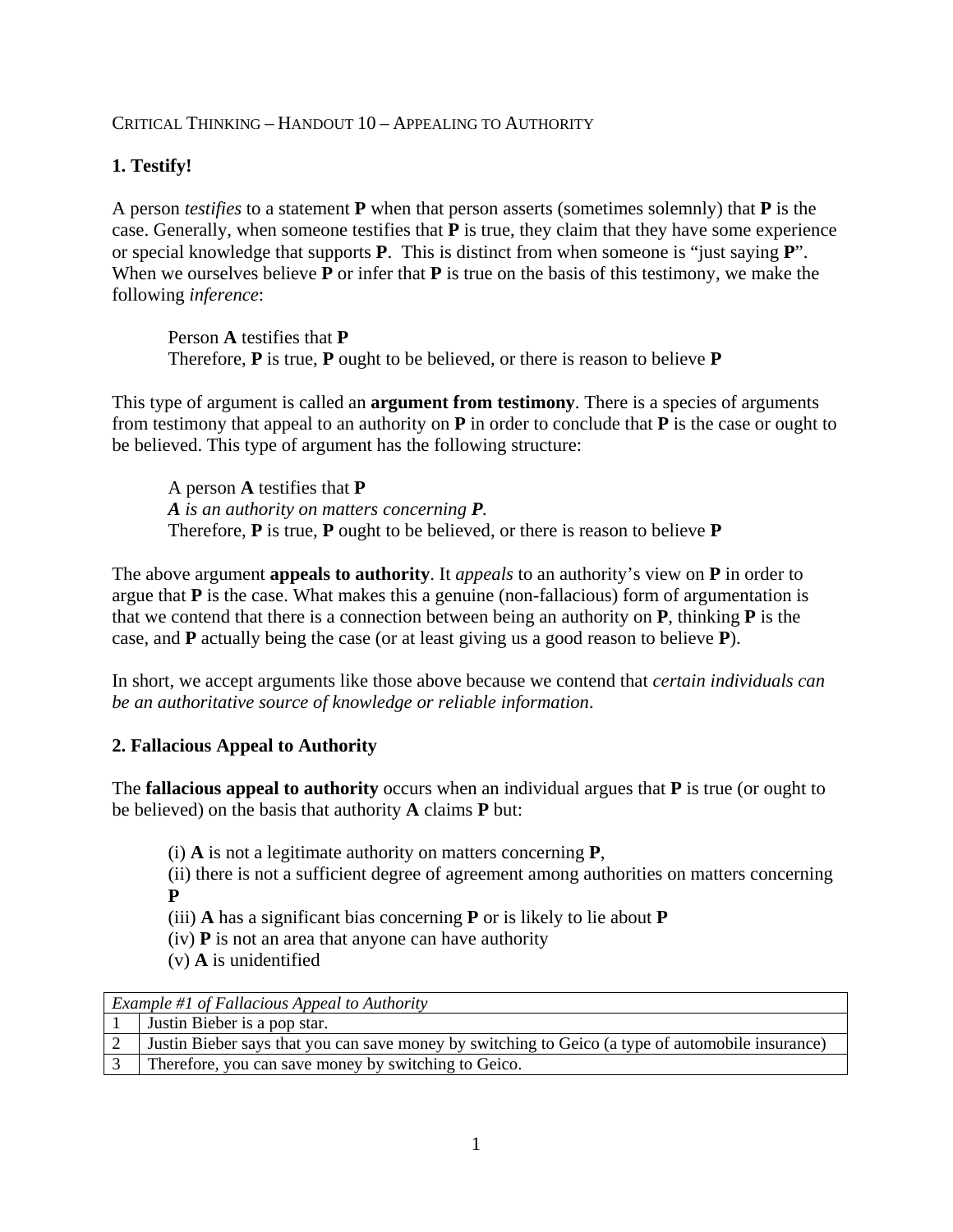#### CRITICAL THINKING – HANDOUT 10 – APPEALING TO AUTHORITY

# **1. Testify!**

A person *testifies* to a statement **P** when that person asserts (sometimes solemnly) that **P** is the case. Generally, when someone testifies that **P** is true, they claim that they have some experience or special knowledge that supports **P**. This is distinct from when someone is "just saying **P**". When we ourselves believe **P** or infer that **P** is true on the basis of this testimony, we make the following *inference*:

Person **A** testifies that **P** Therefore, **P** is true, **P** ought to be believed, or there is reason to believe **P**

This type of argument is called an **argument from testimony**. There is a species of arguments from testimony that appeal to an authority on **P** in order to conclude that **P** is the case or ought to be believed. This type of argument has the following structure:

A person **A** testifies that **P** *A is an authority on matters concerning P.* Therefore, **P** is true, **P** ought to be believed, or there is reason to believe **P**

The above argument **appeals to authority**. It *appeals* to an authority's view on **P** in order to argue that **P** is the case. What makes this a genuine (non-fallacious) form of argumentation is that we contend that there is a connection between being an authority on **P**, thinking **P** is the case, and **P** actually being the case (or at least giving us a good reason to believe **P**).

In short, we accept arguments like those above because we contend that *certain individuals can be an authoritative source of knowledge or reliable information*.

### **2. Fallacious Appeal to Authority**

The **fallacious appeal to authority** occurs when an individual argues that **P** is true (or ought to be believed) on the basis that authority **A** claims **P** but:

(i) **A** is not a legitimate authority on matters concerning **P**,

(ii) there is not a sufficient degree of agreement among authorities on matters concerning **P**

(iii) **A** has a significant bias concerning **P** or is likely to lie about **P**

(iv) **P** is not an area that anyone can have authority

(v) **A** is unidentified

| Example #1 of Fallacious Appeal to Authority |                                                                                                   |
|----------------------------------------------|---------------------------------------------------------------------------------------------------|
|                                              | Justin Bieber is a pop star.                                                                      |
|                                              | Justin Bieber says that you can save money by switching to Geico (a type of automobile insurance) |
|                                              | Therefore, you can save money by switching to Geico.                                              |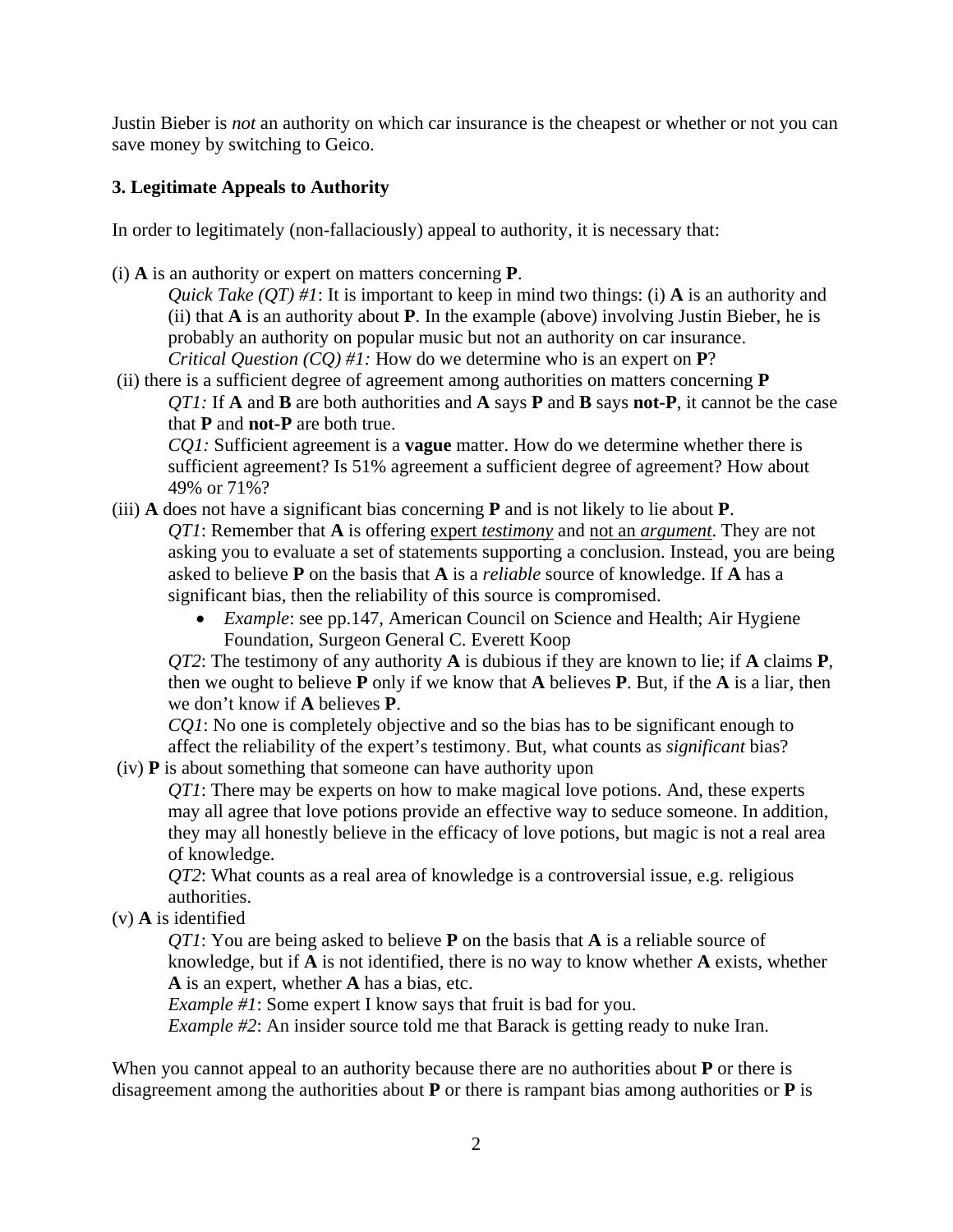Justin Bieber is *not* an authority on which car insurance is the cheapest or whether or not you can save money by switching to Geico.

# **3. Legitimate Appeals to Authority**

In order to legitimately (non-fallaciously) appeal to authority, it is necessary that:

(i) **A** is an authority or expert on matters concerning **P**.

*Quick Take (QT) #1*: It is important to keep in mind two things: (i) **A** is an authority and (ii) that **A** is an authority about **P**. In the example (above) involving Justin Bieber, he is probably an authority on popular music but not an authority on car insurance. *Critical Question (CQ) #1:* How do we determine who is an expert on **P**?

(ii) there is a sufficient degree of agreement among authorities on matters concerning **P** *QT1:* If **A** and **B** are both authorities and **A** says **P** and **B** says **not-P**, it cannot be the case that **P** and **not-P** are both true.

*CQ1:* Sufficient agreement is a **vague** matter. How do we determine whether there is sufficient agreement? Is 51% agreement a sufficient degree of agreement? How about 49% or 71%?

(iii) **A** does not have a significant bias concerning **P** and is not likely to lie about **P**. *QT1*: Remember that **A** is offering expert *testimony* and not an *argument* . They are not asking you to evaluate a set of statements supporting a conclusion. Instead, you are being asked to believe **P** on the basis that **A** is a *reliable* source of knowledge. If **A** has a significant bias, then the reliability of this source is compromised.

> • *Example*: see pp.147, American Council on Science and Health; Air Hygiene Foundation, Surgeon General C. Everett Koop

*QT2*: The testimony of any authority **A** is dubious if they are known to lie; if **A** claims **P**, then we ought to believe **P** only if we know that **A** believes **P**. But, if the **A** is a liar, then we don't know if **A** believes **P**.

*CQ1*: No one is completely objective and so the bias has to be significant enough to affect the reliability of the expert's testimony. But, what counts as *significant* bias?

(iv) **P** is about something that someone can have authority upon

*QT1*: There may be experts on how to make magical love potions. And, these experts may all agree that love potions provide an effective way to seduce someone. In addition, they may all honestly believe in the efficacy of love potions, but magic is not a real area of knowledge.

*QT2*: What counts as a real area of knowledge is a controversial issue, e.g. religious authorities.

(v) **A** is identified

*QT1*: You are being asked to believe **P** on the basis that **A** is a reliable source of knowledge, but if **A** is not identified, there is no way to know whether **A** exists, whether **A** is an expert, whether **A** has a bias, etc.

*Example #1*: Some expert I know says that fruit is bad for you.

*Example #2*: An insider source told me that Barack is getting ready to nuke Iran.

When you cannot appeal to an authority because there are no authorities about **P** or there is disagreement among the authorities about **P** or there is rampant bias among authorities or **P** is